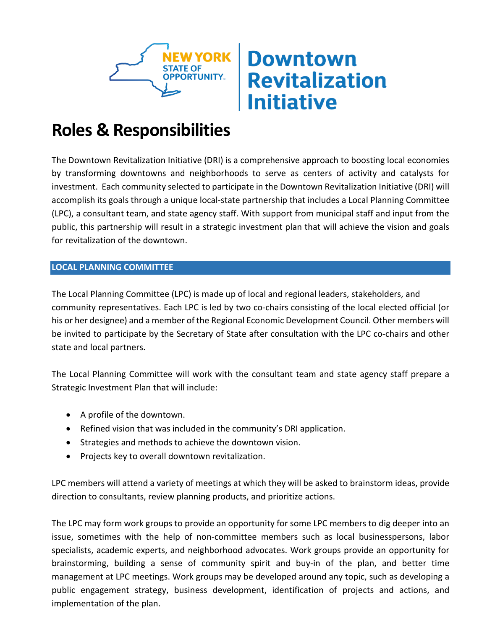

# **Downtown Revitalization Initiative**

# **Roles & Responsibilities**

The Downtown Revitalization Initiative (DRI) is a comprehensive approach to boosting local economies by transforming downtowns and neighborhoods to serve as centers of activity and catalysts for investment. Each community selected to participate in the Downtown Revitalization Initiative (DRI) will accomplish its goals through a unique local-state partnership that includes a Local Planning Committee (LPC), a consultant team, and state agency staff. With support from municipal staff and input from the public, this partnership will result in a strategic investment plan that will achieve the vision and goals for revitalization of the downtown.

# **LOCAL PLANNING COMMITTEE**

The Local Planning Committee (LPC) is made up of local and regional leaders, stakeholders, and community representatives. Each LPC is led by two co-chairs consisting of the local elected official (or his or her designee) and a member of the Regional Economic Development Council. Other members will be invited to participate by the Secretary of State after consultation with the LPC co-chairs and other state and local partners.

The Local Planning Committee will work with the consultant team and state agency staff prepare a Strategic Investment Plan that will include:

- A profile of the downtown.
- Refined vision that was included in the community's DRI application.
- Strategies and methods to achieve the downtown vision.
- Projects key to overall downtown revitalization.

LPC members will attend a variety of meetings at which they will be asked to brainstorm ideas, provide direction to consultants, review planning products, and prioritize actions.

The LPC may form work groups to provide an opportunity for some LPC members to dig deeper into an issue, sometimes with the help of non-committee members such as local businesspersons, labor specialists, academic experts, and neighborhood advocates. Work groups provide an opportunity for brainstorming, building a sense of community spirit and buy-in of the plan, and better time management at LPC meetings. Work groups may be developed around any topic, such as developing a public engagement strategy, business development, identification of projects and actions, and implementation of the plan.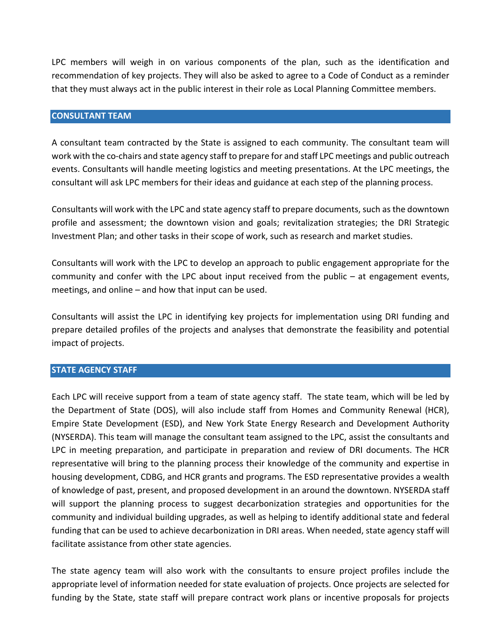LPC members will weigh in on various components of the plan, such as the identification and recommendation of key projects. They will also be asked to agree to a Code of Conduct as a reminder that they must always act in the public interest in their role as Local Planning Committee members.

#### **CONSULTANT TEAM**

A consultant team contracted by the State is assigned to each community. The consultant team will work with the co-chairs and state agency staff to prepare for and staff LPC meetings and public outreach events. Consultants will handle meeting logistics and meeting presentations. At the LPC meetings, the consultant will ask LPC members for their ideas and guidance at each step of the planning process.

Consultants will work with the LPC and state agency staff to prepare documents, such as the downtown profile and assessment; the downtown vision and goals; revitalization strategies; the DRI Strategic Investment Plan; and other tasks in their scope of work, such as research and market studies.

Consultants will work with the LPC to develop an approach to public engagement appropriate for the community and confer with the LPC about input received from the public – at engagement events, meetings, and online – and how that input can be used.

Consultants will assist the LPC in identifying key projects for implementation using DRI funding and prepare detailed profiles of the projects and analyses that demonstrate the feasibility and potential impact of projects.

### **STATE AGENCY STAFF**

Each LPC will receive support from a team of state agency staff. The state team, which will be led by the Department of State (DOS), will also include staff from Homes and Community Renewal (HCR), Empire State Development (ESD), and New York State Energy Research and Development Authority (NYSERDA). This team will manage the consultant team assigned to the LPC, assist the consultants and LPC in meeting preparation, and participate in preparation and review of DRI documents. The HCR representative will bring to the planning process their knowledge of the community and expertise in housing development, CDBG, and HCR grants and programs. The ESD representative provides a wealth of knowledge of past, present, and proposed development in an around the downtown. NYSERDA staff will support the planning process to suggest decarbonization strategies and opportunities for the community and individual building upgrades, as well as helping to identify additional state and federal funding that can be used to achieve decarbonization in DRI areas. When needed, state agency staff will facilitate assistance from other state agencies.

The state agency team will also work with the consultants to ensure project profiles include the appropriate level of information needed for state evaluation of projects. Once projects are selected for funding by the State, state staff will prepare contract work plans or incentive proposals for projects